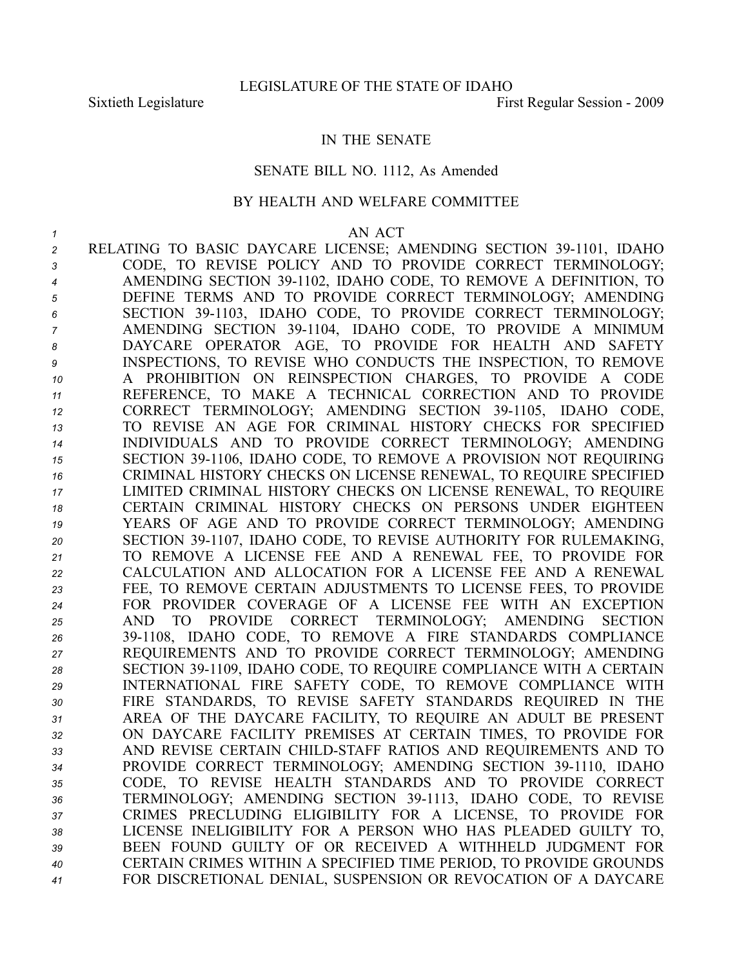## IN THE SENATE

#### SENATE BILL NO. 1112, As Amended

### BY HEALTH AND WELFARE COMMITTEE

#### *1* AN ACT

2 RELATING TO BASIC DAYCARE LICENSE; AMENDING SECTION 39-1101, IDAHO CODE, TO REVISE POLICY AND TO PROVIDE CORRECT TERMINOLOGY; AMENDING SECTION 391102, IDAHO CODE, TO REMOVE A DEFINITION, TO DEFINE TERMS AND TO PROVIDE CORRECT TERMINOLOGY; AMENDING SECTION 391103, IDAHO CODE, TO PROVIDE CORRECT TERMINOLOGY; AMENDING SECTION 391104, IDAHO CODE, TO PROVIDE A MINIMUM DAYCARE OPERATOR AGE, TO PROVIDE FOR HEALTH AND SAFETY INSPECTIONS, TO REVISE WHO CONDUCTS THE INSPECTION, TO REMOVE A PROHIBITION ON REINSPECTION CHARGES, TO PROVIDE A CODE REFERENCE, TO MAKE A TECHNICAL CORRECTION AND TO PROVIDE 12 CORRECT TERMINOLOGY; AMENDING SECTION 39-1105, IDAHO CODE, TO REVISE AN AGE FOR CRIMINAL HISTORY CHECKS FOR SPECIFIED INDIVIDUALS AND TO PROVIDE CORRECT TERMINOLOGY; AMENDING SECTION 391106, IDAHO CODE, TO REMOVE A PROVISION NOT REQUIRING CRIMINAL HISTORY CHECKS ON LICENSE RENEWAL, TO REQUIRE SPECIFIED LIMITED CRIMINAL HISTORY CHECKS ON LICENSE RENEWAL, TO REQUIRE CERTAIN CRIMINAL HISTORY CHECKS ON PERSONS UNDER EIGHTEEN YEARS OF AGE AND TO PROVIDE CORRECT TERMINOLOGY; AMENDING 20 SECTION 39-1107, IDAHO CODE, TO REVISE AUTHORITY FOR RULEMAKING, TO REMOVE A LICENSE FEE AND A RENEWAL FEE, TO PROVIDE FOR CALCULATION AND ALLOCATION FOR A LICENSE FEE AND A RENEWAL FEE, TO REMOVE CERTAIN ADJUSTMENTS TO LICENSE FEES, TO PROVIDE FOR PROVIDER COVERAGE OF A LICENSE FEE WITH AN EXCEPTION AND TO PROVIDE CORRECT TERMINOLOGY; AMENDING SECTION 391108, IDAHO CODE, TO REMOVE A FIRE STANDARDS COMPLIANCE REQUIREMENTS AND TO PROVIDE CORRECT TERMINOLOGY; AMENDING 28 SECTION 39-1109, IDAHO CODE, TO REQUIRE COMPLIANCE WITH A CERTAIN INTERNATIONAL FIRE SAFETY CODE, TO REMOVE COMPLIANCE WITH FIRE STANDARDS, TO REVISE SAFETY STANDARDS REQUIRED IN THE AREA OF THE DAYCARE FACILITY, TO REQUIRE AN ADULT BE PRESENT ON DAYCARE FACILITY PREMISES AT CERTAIN TIMES, TO PROVIDE FOR AND REVISE CERTAIN CHILDSTAFF RATIOS AND REQUIREMENTS AND TO 34 PROVIDE CORRECT TERMINOLOGY; AMENDING SECTION 39-1110, IDAHO CODE, TO REVISE HEALTH STANDARDS AND TO PROVIDE CORRECT 36 TERMINOLOGY; AMENDING SECTION 39-1113, IDAHO CODE, TO REVISE CRIMES PRECLUDING ELIGIBILITY FOR A LICENSE, TO PROVIDE FOR LICENSE INELIGIBILITY FOR A PERSON WHO HAS PLEADED GUILTY TO, BEEN FOUND GUILTY OF OR RECEIVED A WITHHELD JUDGMENT FOR CERTAIN CRIMES WITHIN A SPECIFIED TIME PERIOD, TO PROVIDE GROUNDS FOR DISCRETIONAL DENIAL, SUSPENSION OR REVOCATION OF A DAYCARE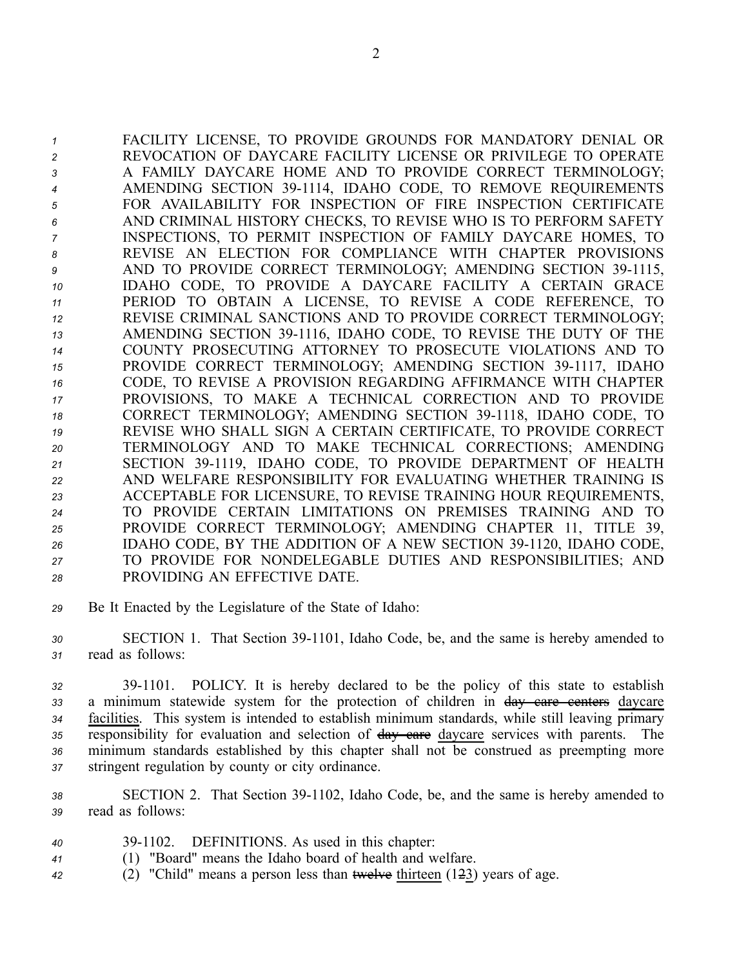FACILITY LICENSE, TO PROVIDE GROUNDS FOR MANDATORY DENIAL OR REVOCATION OF DAYCARE FACILITY LICENSE OR PRIVILEGE TO OPERATE A FAMILY DAYCARE HOME AND TO PROVIDE CORRECT TERMINOLOGY; AMENDING SECTION 391114, IDAHO CODE, TO REMOVE REQUIREMENTS FOR AVAILABILITY FOR INSPECTION OF FIRE INSPECTION CERTIFICATE AND CRIMINAL HISTORY CHECKS, TO REVISE WHO IS TO PERFORM SAFETY INSPECTIONS, TO PERMIT INSPECTION OF FAMILY DAYCARE HOMES, TO REVISE AN ELECTION FOR COMPLIANCE WITH CHAPTER PROVISIONS AND TO PROVIDE CORRECT TERMINOLOGY; AMENDING SECTION 39-1115, IDAHO CODE, TO PROVIDE A DAYCARE FACILITY A CERTAIN GRACE PERIOD TO OBTAIN A LICENSE, TO REVISE A CODE REFERENCE, TO REVISE CRIMINAL SANCTIONS AND TO PROVIDE CORRECT TERMINOLOGY; 13 AMENDING SECTION 39-1116, IDAHO CODE, TO REVISE THE DUTY OF THE COUNTY PROSECUTING ATTORNEY TO PROSECUTE VIOLATIONS AND TO 15 PROVIDE CORRECT TERMINOLOGY; AMENDING SECTION 39-1117, IDAHO CODE, TO REVISE A PROVISION REGARDING AFFIRMANCE WITH CHAPTER PROVISIONS, TO MAKE A TECHNICAL CORRECTION AND TO PROVIDE 18 CORRECT TERMINOLOGY; AMENDING SECTION 39-1118, IDAHO CODE, TO REVISE WHO SHALL SIGN A CERTAIN CERTIFICATE, TO PROVIDE CORRECT TERMINOLOGY AND TO MAKE TECHNICAL CORRECTIONS; AMENDING 21 SECTION 39-1119, IDAHO CODE, TO PROVIDE DEPARTMENT OF HEALTH AND WELFARE RESPONSIBILITY FOR EVALUATING WHETHER TRAINING IS ACCEPTABLE FOR LICENSURE, TO REVISE TRAINING HOUR REQUIREMENTS, TO PROVIDE CERTAIN LIMITATIONS ON PREMISES TRAINING AND TO PROVIDE CORRECT TERMINOLOGY; AMENDING CHAPTER 11, TITLE 39, 26 IDAHO CODE, BY THE ADDITION OF A NEW SECTION 39-1120, IDAHO CODE, TO PROVIDE FOR NONDELEGABLE DUTIES AND RESPONSIBILITIES; AND PROVIDING AN EFFECTIVE DATE.

*<sup>29</sup>* Be It Enacted by the Legislature of the State of Idaho:

*<sup>30</sup>* SECTION 1. That Section 391101, Idaho Code, be, and the same is hereby amended to *<sup>31</sup>* read as follows:

 391101. POLICY. It is hereby declared to be the policy of this state to establish <sup>a</sup> minimum statewide system for the protection of children in day care centers daycare facilities. This system is intended to establish minimum standards, while still leaving primary responsibility for evaluation and selection of day care daycare services with parents. The minimum standards established by this chapter shall not be construed as preempting more stringent regulation by county or city ordinance.

*<sup>38</sup>* SECTION 2. That Section 391102, Idaho Code, be, and the same is hereby amended to *<sup>39</sup>* read as follows:

- *<sup>40</sup>* 391102. DEFINITIONS. As used in this chapter:
- *<sup>41</sup>* (1) "Board" means the Idaho board of health and welfare.
- 42 (2) "Child" means a person less than <del>twelve</del> thirteen (1<del>2</del>3) years of age.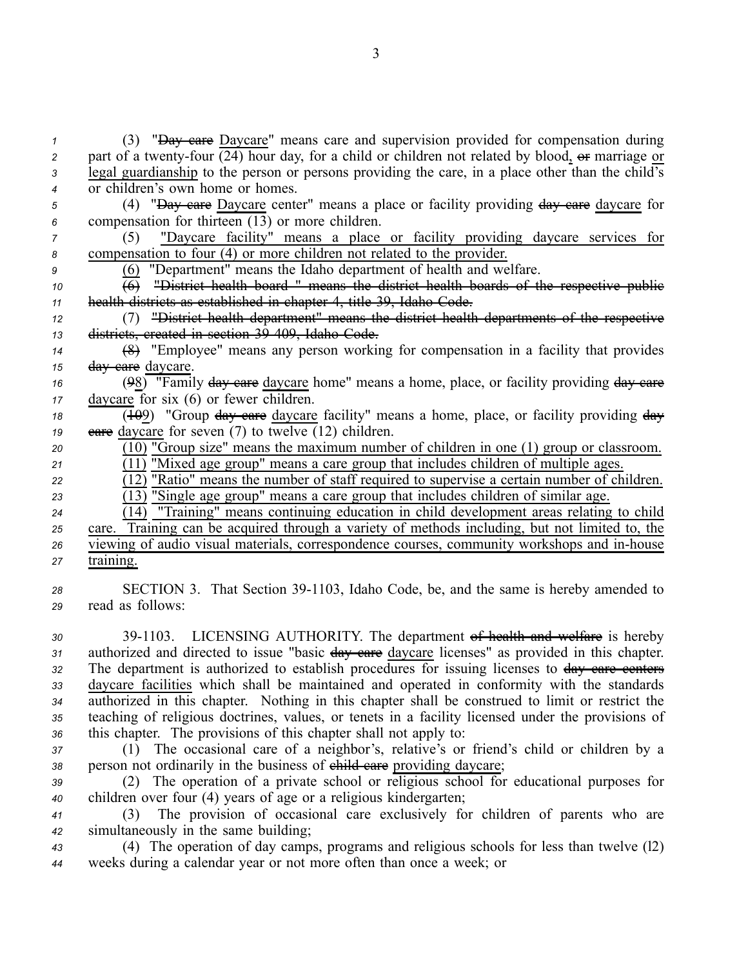(3) "Day care Daycare" means care and supervision provided for compensation during part of a twenty-four  $\overline{(24)}$  hour day, for a child or children not related by blood,  $\overline{or}$  marriage or legal guardianship to the person or persons providing the care, in <sup>a</sup> place other than the child's or children's own home or homes.

*<sup>5</sup>* (4) "Day care Daycare center" means <sup>a</sup> place or facility providing day care daycare for *<sup>6</sup>* compensation for thirteen (13) or more children.

*<sup>7</sup>* (5) "Daycare facility" means <sup>a</sup> place or facility providing daycare services for *<sup>8</sup>* compensation to four (4) or more children not related to the provider.

*<sup>9</sup>* (6) "Department" means the Idaho department of health and welfare.

*<sup>10</sup>* (6) "District health board " means the district health boards of the respective public *<sup>11</sup>* health districts as established in chapter 4, title 39, Idaho Code.

*<sup>12</sup>* (7) "District health department" means the district health departments of the respective *<sup>13</sup>* districts, created in section 39409, Idaho Code.

*<sup>14</sup>* (8) "Employee" means any person working for compensation in <sup>a</sup> facility that provides *<sup>15</sup>* day care daycare.

*<sup>16</sup>* (98) "Family day care daycare home" means <sup>a</sup> home, place, or facility providing day care *<sup>17</sup>* daycare for six (6) or fewer children.

18 (109) "Group day care daycare facility" means a home, place, or facility providing day *19* **eare** daycare for seven (7) to twelve  $(12)$  children.

*<sup>20</sup>* (10) "Group size" means the maximum number of children in one (1) group or classroom. *<sup>21</sup>* (11) "Mixed age group" means <sup>a</sup> care group that includes children of multiple ages.

 $\overline{(12)}$  "Ratio" means the number of staff required to supervise a certain number of children.

*<sup>23</sup>* (13) "Single age group" means <sup>a</sup> care group that includes children of similar age.

 $\overline{(14)}$  "Training" means continuing education in child development areas relating to child

*<sup>25</sup>* care. Training can be acquired through <sup>a</sup> variety of methods including, but not limited to, the *26* viewing of audio visual materials, correspondence courses, community workshops and in-house *<sup>27</sup>* training.

28 SECTION 3. That Section 39-1103, Idaho Code, be, and the same is hereby amended to *<sup>29</sup>* read as follows:

 391103. LICENSING AUTHORITY. The department of health and welfare is hereby authorized and directed to issue "basic day care daycare licenses" as provided in this chapter. 32 The department is authorized to establish procedures for issuing licenses to day care centers daycare facilities which shall be maintained and operated in conformity with the standards authorized in this chapter. Nothing in this chapter shall be construed to limit or restrict the teaching of religious doctrines, values, or tenets in <sup>a</sup> facility licensed under the provisions of this chapter. The provisions of this chapter shall not apply to:

*<sup>37</sup>* (1) The occasional care of <sup>a</sup> neighbor's, relative's or friend's child or children by <sup>a</sup> 38 person not ordinarily in the business of ehild care providing daycare;

*<sup>39</sup>* (2) The operation of <sup>a</sup> private school or religious school for educational purposes for *<sup>40</sup>* children over four (4) years of age or <sup>a</sup> religious kindergarten;

*<sup>41</sup>* (3) The provision of occasional care exclusively for children of parents who are *<sup>42</sup>* simultaneously in the same building;

*<sup>43</sup>* (4) The operation of day camps, programs and religious schools for less than twelve (l2) *<sup>44</sup>* weeks during <sup>a</sup> calendar year or not more often than once <sup>a</sup> week; or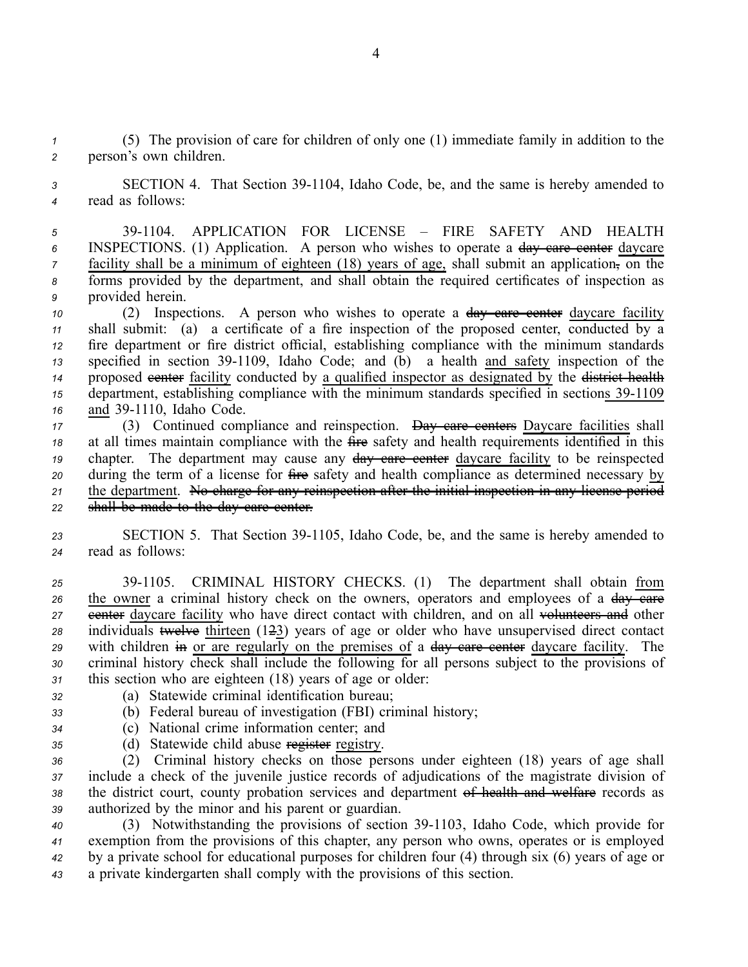*<sup>1</sup>* (5) The provision of care for children of only one (1) immediate family in addition to the *<sup>2</sup>* person's own children.

*<sup>3</sup>* SECTION 4. That Section 391104, Idaho Code, be, and the same is hereby amended to *<sup>4</sup>* read as follows:

 391104. APPLICATION FOR LICENSE – FIRE SAFETY AND HEALTH INSPECTIONS. (1) Application. A person who wishes to operate <sup>a</sup> day care center daycare facility shall be a minimum of eighteen (18) years of age, shall submit an application, on the forms provided by the department, and shall obtain the required certificates of inspection as provided herein.

 (2) Inspections. A person who wishes to operate <sup>a</sup> day care center daycare facility shall submit: (a) <sup>a</sup> certificate of <sup>a</sup> fire inspection of the proposed center, conducted by <sup>a</sup> fire department or fire district official, establishing compliance with the minimum standards 13 specified in section 39-1109, Idaho Code; and (b) a health and safety inspection of the 14 proposed eenter facility conducted by a qualified inspector as designated by the <del>district health</del> department, establishing compliance with the minimum standards specified in sections 39-1109 and 39-1110, Idaho Code.

 (3) Continued compliance and reinspection. Day care centers Daycare facilities shall at all times maintain compliance with the fire safety and health requirements identified in this chapter. The department may cause any day eare center daycare facility to be reinspected during the term of <sup>a</sup> license for fire safety and health compliance as determined necessary by the department. No charge for any reinspection after the initial inspection in any license period shall be made to the day care center.

23 SECTION 5. That Section 39-1105, Idaho Code, be, and the same is hereby amended to *<sup>24</sup>* read as follows:

 391105. CRIMINAL HISTORY CHECKS. (1) The department shall obtain from 26 the owner a criminal history check on the owners, operators and employees of a day care extermed average facility who have direct contact with children, and on all volunteers and other individuals twelve thirteen (123) years of age or older who have unsupervised direct contact 29 with children in or are regularly on the premises of a day care center daycare facility. The criminal history check shall include the following for all persons subject to the provisions of this section who are eighteen (18) years of age or older:

- *<sup>32</sup>* (a) Statewide criminal identification bureau;
- 
- *<sup>33</sup>* (b) Federal bureau of investigation (FBI) criminal history;
- *<sup>34</sup>* (c) National crime information center; and
- 
- *<sup>35</sup>* (d) Statewide child abuse register registry.

 (2) Criminal history checks on those persons under eighteen (18) years of age shall include <sup>a</sup> check of the juvenile justice records of adjudications of the magistrate division of the district court, county probation services and department of health and welfare records as authorized by the minor and his paren<sup>t</sup> or guardian.

40 (3) Notwithstanding the provisions of section 39-1103, Idaho Code, which provide for exemption from the provisions of this chapter, any person who owns, operates or is employed by <sup>a</sup> private school for educational purposes for children four (4) through six (6) years of age or <sup>a</sup> private kindergarten shall comply with the provisions of this section.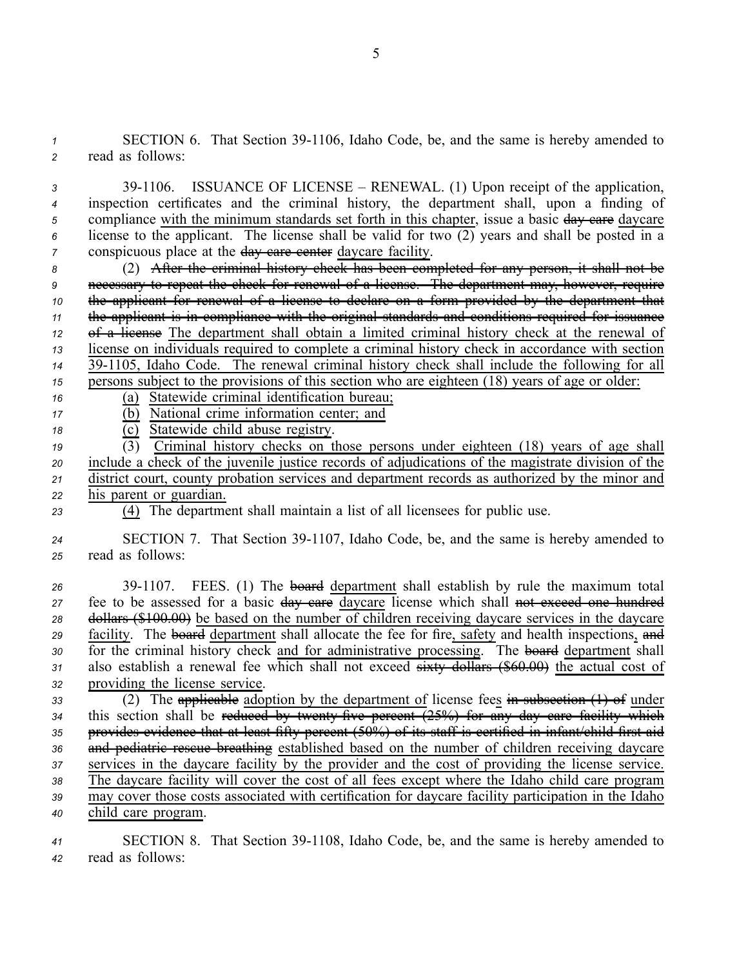1 **SECTION 6.** That Section 39-1106, Idaho Code, be, and the same is hereby amended to *<sup>2</sup>* read as follows:

 391106. ISSUANCE OF LICENSE – RENEWAL. (1) Upon receipt of the application, inspection certificates and the criminal history, the department shall, upon <sup>a</sup> finding of 5 compliance with the minimum standards set forth in this chapter, issue a basic day eare daycare license to the applicant. The license shall be valid for two (2) years and shall be posted in <sup>a</sup> conspicuous place at the day eare center daycare facility.

 (2) After the criminal history check has been completed for any person, it shall not be necessary to repea<sup>t</sup> the check for renewal of <sup>a</sup> license. The department may, however, require the applicant for renewal of <sup>a</sup> license to declare on <sup>a</sup> form provided by the department that the applicant is in compliance with the original standards and conditions required for issuance of <sup>a</sup> license The department shall obtain <sup>a</sup> limited criminal history check at the renewal of license on individuals required to complete <sup>a</sup> criminal history check in accordance with section 391105, Idaho Code. The renewal criminal history check shall include the following for all persons subject to the provisions of this section who are eighteen (18) years of age or older:

# *<sup>16</sup>* (a) Statewide criminal identification bureau; *<sup>17</sup>* (b) National crime information center; and

18 **(c)** Statewide child abuse registry.

 (3) Criminal history checks on those persons under eighteen (18) years of age shall include <sup>a</sup> check of the juvenile justice records of adjudications of the magistrate division of the district court, county probation services and department records as authorized by the minor and his paren<sup>t</sup> or guardian.

*<sup>23</sup>* (4) The department shall maintain <sup>a</sup> list of all licensees for public use.

*<sup>24</sup>* SECTION 7. That Section 391107, Idaho Code, be, and the same is hereby amended to *<sup>25</sup>* read as follows:

26 39-1107. FEES. (1) The board department shall establish by rule the maximum total 27 fee to be assessed for a basic day care daycare license which shall not exceed one hundred *<sup>28</sup>* dollars (\$100.00) be based on the number of children receiving daycare services in the daycare 29 facility. The **board** department shall allocate the fee for fire, safety and health inspections, and 30 for the criminal history check and for administrative processing. The board department shall *<sup>31</sup>* also establish <sup>a</sup> renewal fee which shall not exceed sixty dollars (\$60.00) the actual cost of *<sup>32</sup>* providing the license service.

 (2) The applicable adoption by the department of license fees in subsection (1) of under 34 this section shall be reduced by twenty five percent (25%) for any day care facility which provides evidence that at least fifty percen<sup>t</sup> (50%) of its staff is certified in infant/child first aid 36 and pediatric reseue breathing established based on the number of children receiving daycare services in the daycare facility by the provider and the cost of providing the license service. The daycare facility will cover the cost of all fees excep<sup>t</sup> where the Idaho child care program may cover those costs associated with certification for daycare facility participation in the Idaho child care program.

*<sup>41</sup>* SECTION 8. That Section 391108, Idaho Code, be, and the same is hereby amended to *<sup>42</sup>* read as follows: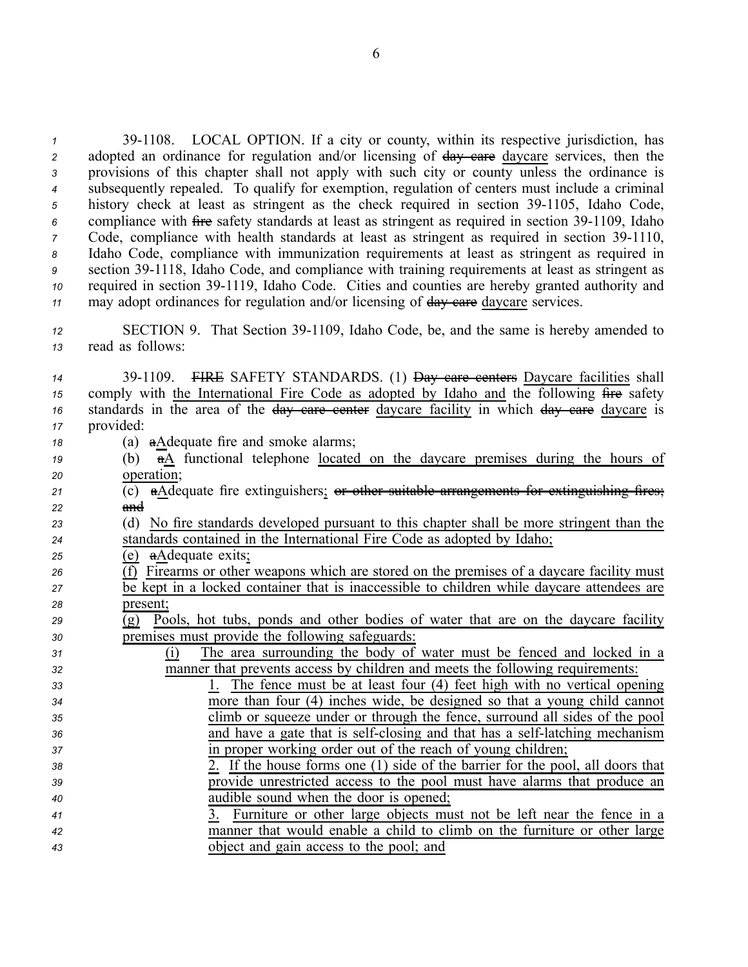<sup>1</sup> 39-1108. LOCAL OPTION. If a city or county, within its respective jurisdiction, has 2 adopted an ordinance for regulation and/or licensing of  $\frac{1}{2}$  day care daycare services, then the *<sup>3</sup>* provisions of this chapter shall not apply with such city or county unless the ordinance is *<sup>4</sup>* subsequently repealed. To qualify for exemption, regulation of centers must include <sup>a</sup> criminal 5 history check at least as stringent as the check required in section 39-1105, Idaho Code, <sup>6</sup> compliance with fire safety standards at least as stringent as required in section 39-1109, Idaho *7* Code, compliance with health standards at least as stringent as required in section 39-1110, *<sup>8</sup>* Idaho Code, compliance with immunization requirements at least as stringent as required in *<sup>9</sup>* section 391118, Idaho Code, and compliance with training requirements at least as stringent as 10 required in section 39-1119, Idaho Code. Cities and counties are hereby granted authority and 11 may adopt ordinances for regulation and/or licensing of day care daycare services.

12 SECTION 9. That Section 39-1109, Idaho Code, be, and the same is hereby amended to *<sup>13</sup>* read as follows:

| 14 | 39-1109. FIRE SAFETY STANDARDS. (1) Day eare centers Daycare facilities shall                                   |
|----|-----------------------------------------------------------------------------------------------------------------|
| 15 | comply with the International Fire Code as adopted by Idaho and the following fire safety                       |
| 16 | standards in the area of the day care center daycare facility in which day care daycare is                      |
| 17 | provided:                                                                                                       |
| 18 | (a) a A dequate fire and smoke alarms;                                                                          |
| 19 | (b) $\overline{a}\underline{A}$ functional telephone <u>located on the daycare premises during the hours of</u> |
| 20 | operation;                                                                                                      |
| 21 | (c) aAdequate fire extinguishers; or other suitable arrangements for extinguishing                              |
| 22 | and                                                                                                             |
| 23 | (d) No fire standards developed pursuant to this chapter shall be more stringent than the                       |
| 24 | standards contained in the International Fire Code as adopted by Idaho;                                         |
| 25 | (e) aAdequate exits;                                                                                            |
| 26 | (f) Firearms or other weapons which are stored on the premises of a daycare facility must                       |
| 27 | be kept in a locked container that is inaccessible to children while daycare attendees are                      |
| 28 | present;                                                                                                        |
| 29 | Pools, hot tubs, ponds and other bodies of water that are on the daycare facility<br>(g)                        |
| 30 | premises must provide the following safeguards:                                                                 |
| 31 | The area surrounding the body of water must be fenced and locked in a<br>(i)                                    |
| 32 | manner that prevents access by children and meets the following requirements:                                   |
| 33 | 1. The fence must be at least four (4) feet high with no vertical opening                                       |
| 34 | more than four (4) inches wide, be designed so that a young child cannot                                        |
| 35 | climb or squeeze under or through the fence, surround all sides of the pool                                     |
| 36 | and have a gate that is self-closing and that has a self-latching mechanism                                     |
| 37 | in proper working order out of the reach of young children;                                                     |
| 38 | 2. If the house forms one (1) side of the barrier for the pool, all doors that                                  |
| 39 | provide unrestricted access to the pool must have alarms that produce an                                        |
| 40 | audible sound when the door is opened;                                                                          |
| 41 | Furniture or other large objects must not be left near the fence in a<br>3.                                     |
| 42 | manner that would enable a child to climb on the furniture or other large                                       |
| 43 | object and gain access to the pool; and                                                                         |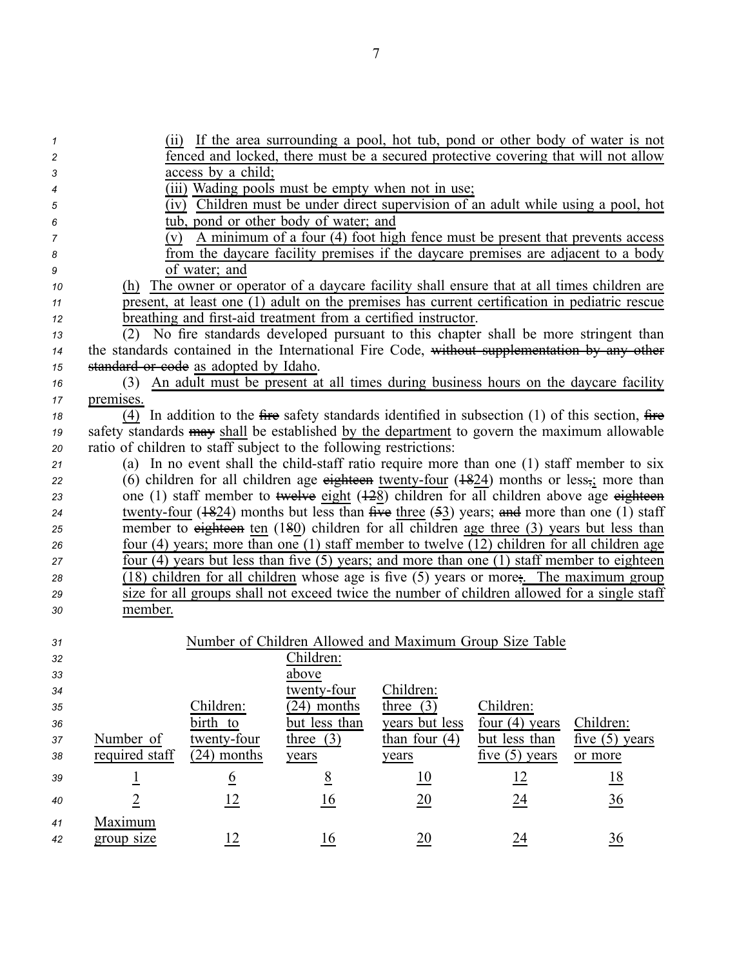| 1  |                                                                                                                                                                                                   |                 |                                                                   |                                                                |                  | (ii) If the area surrounding a pool, hot tub, pond or other body of water is not                  |
|----|---------------------------------------------------------------------------------------------------------------------------------------------------------------------------------------------------|-----------------|-------------------------------------------------------------------|----------------------------------------------------------------|------------------|---------------------------------------------------------------------------------------------------|
| 2  | fenced and locked, there must be a secured protective covering that will not allow                                                                                                                |                 |                                                                   |                                                                |                  |                                                                                                   |
| 3  | access by a child;                                                                                                                                                                                |                 |                                                                   |                                                                |                  |                                                                                                   |
| 4  |                                                                                                                                                                                                   |                 |                                                                   | (iii) Wading pools must be empty when not in use;              |                  |                                                                                                   |
| 5  |                                                                                                                                                                                                   |                 |                                                                   |                                                                |                  | $\overline{(iv)}$ Children must be under direct supervision of an adult while using a pool, hot   |
| 6  |                                                                                                                                                                                                   |                 | tub, pond or other body of water; and                             |                                                                |                  |                                                                                                   |
| 7  | (v)                                                                                                                                                                                               |                 |                                                                   |                                                                |                  | A minimum of a four (4) foot high fence must be present that prevents access                      |
| 8  |                                                                                                                                                                                                   |                 |                                                                   |                                                                |                  | from the daycare facility premises if the daycare premises are adjacent to a body                 |
| 9  |                                                                                                                                                                                                   | of water; and   |                                                                   |                                                                |                  |                                                                                                   |
| 10 |                                                                                                                                                                                                   |                 |                                                                   |                                                                |                  | (h) The owner or operator of a daycare facility shall ensure that at all times children are       |
| 11 |                                                                                                                                                                                                   |                 |                                                                   |                                                                |                  | present, at least one (1) adult on the premises has current certification in pediatric rescue     |
| 12 |                                                                                                                                                                                                   |                 |                                                                   | breathing and first-aid treatment from a certified instructor. |                  |                                                                                                   |
| 13 | (2)                                                                                                                                                                                               |                 |                                                                   |                                                                |                  | No fire standards developed pursuant to this chapter shall be more stringent than                 |
| 14 |                                                                                                                                                                                                   |                 |                                                                   |                                                                |                  | the standards contained in the International Fire Code, without supplementation by any other      |
| 15 | standard or code as adopted by Idaho.                                                                                                                                                             |                 |                                                                   |                                                                |                  |                                                                                                   |
| 16 |                                                                                                                                                                                                   |                 |                                                                   |                                                                |                  | (3) An adult must be present at all times during business hours on the daycare facility           |
| 17 | premises.                                                                                                                                                                                         |                 |                                                                   |                                                                |                  |                                                                                                   |
| 18 |                                                                                                                                                                                                   |                 |                                                                   |                                                                |                  | (4) In addition to the fire safety standards identified in subsection $(1)$ of this section, fire |
| 19 |                                                                                                                                                                                                   |                 |                                                                   |                                                                |                  | safety standards may shall be established by the department to govern the maximum allowable       |
| 20 |                                                                                                                                                                                                   |                 | ratio of children to staff subject to the following restrictions: |                                                                |                  |                                                                                                   |
| 21 |                                                                                                                                                                                                   |                 |                                                                   |                                                                |                  | (a) In no event shall the child-staff ratio require more than one (1) staff member to six         |
| 22 |                                                                                                                                                                                                   |                 |                                                                   |                                                                |                  | (6) children for all children age eighteen twenty-four $(1824)$ months or less, more than         |
| 23 |                                                                                                                                                                                                   |                 |                                                                   |                                                                |                  | one (1) staff member to twelve eight $(128)$ children for all children above age eighteen         |
| 24 | twenty-four $(1824)$ months but less than five three $(53)$ years; and more than one (1) staff                                                                                                    |                 |                                                                   |                                                                |                  |                                                                                                   |
| 25 | member to eighteen ten $(180)$ children for all children age three $(3)$ years but less than<br>four $(4)$ years; more than one $(1)$ staff member to twelve $(12)$ children for all children age |                 |                                                                   |                                                                |                  |                                                                                                   |
| 26 |                                                                                                                                                                                                   |                 |                                                                   |                                                                |                  |                                                                                                   |
| 27 |                                                                                                                                                                                                   |                 |                                                                   |                                                                |                  | four (4) years but less than five (5) years; and more than one (1) staff member to eighteen       |
| 28 |                                                                                                                                                                                                   |                 |                                                                   |                                                                |                  | (18) children for all children whose age is five (5) years or more; The maximum group             |
| 29 |                                                                                                                                                                                                   |                 |                                                                   |                                                                |                  | size for all groups shall not exceed twice the number of children allowed for a single staff      |
| 30 | member.                                                                                                                                                                                           |                 |                                                                   |                                                                |                  |                                                                                                   |
|    |                                                                                                                                                                                                   |                 |                                                                   |                                                                |                  |                                                                                                   |
| 31 |                                                                                                                                                                                                   |                 |                                                                   | Number of Children Allowed and Maximum Group Size Table        |                  |                                                                                                   |
| 32 |                                                                                                                                                                                                   |                 | Children:                                                         |                                                                |                  |                                                                                                   |
| 33 |                                                                                                                                                                                                   |                 | above                                                             |                                                                |                  |                                                                                                   |
| 34 |                                                                                                                                                                                                   | Children:       | twenty-four<br>$(24)$ months                                      | Children:<br>three $(3)$                                       | Children:        |                                                                                                   |
| 35 |                                                                                                                                                                                                   | birth to        | but less than                                                     | years but less                                                 | four $(4)$ years | Children:                                                                                         |
| 36 | Number of                                                                                                                                                                                         | twenty-four     | three $(3)$                                                       | than four $(4)$                                                | but less than    | five $(5)$ years                                                                                  |
| 37 | required staff                                                                                                                                                                                    | $(24)$ months   |                                                                   |                                                                | five $(5)$ years |                                                                                                   |
| 38 |                                                                                                                                                                                                   |                 | years                                                             | years                                                          |                  | or more                                                                                           |
| 39 | $\overline{1}$                                                                                                                                                                                    | $\underline{6}$ | 8                                                                 | $\underline{10}$                                               | 12               | <u>18</u>                                                                                         |
| 40 | $\overline{2}$                                                                                                                                                                                    | 12              | 16                                                                | $\underline{20}$                                               | $\underline{24}$ | $\frac{36}{5}$                                                                                    |
| 41 | Maximum                                                                                                                                                                                           |                 |                                                                   |                                                                |                  |                                                                                                   |
| 42 | group size                                                                                                                                                                                        | 12              | 16                                                                | $\underline{20}$                                               | 24               | $\frac{36}{5}$                                                                                    |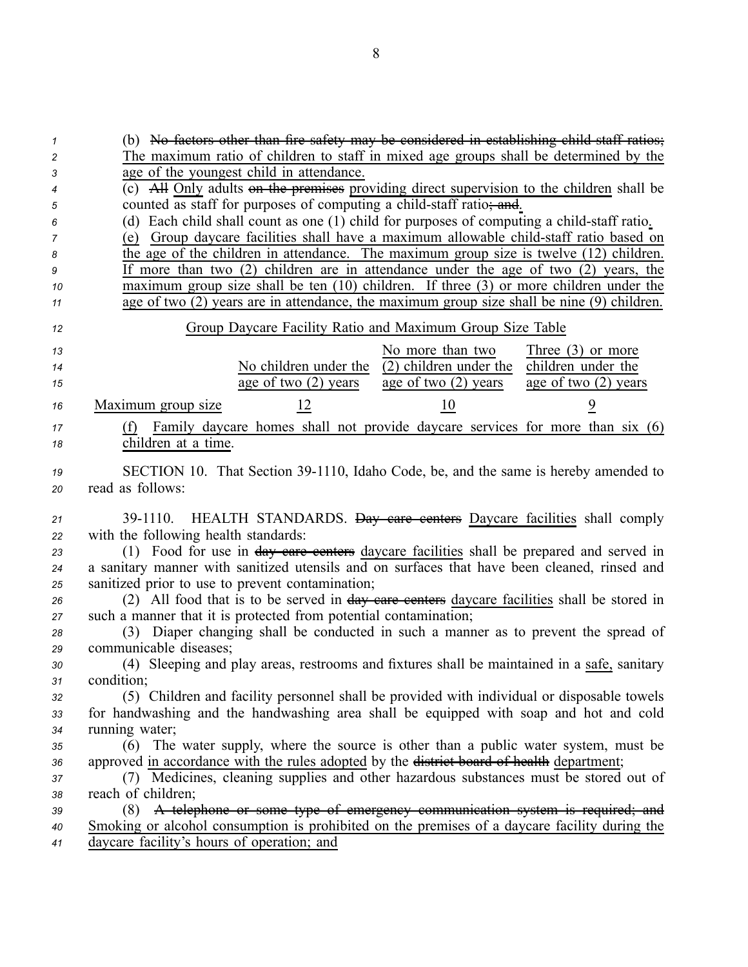(b) No factors other than fire safety may be considered in establishing child staff ratios; The maximum ratio of children to staff in mixed age groups shall be determined by the age of the younges<sup>t</sup> child in attendance. (c) All Only adults on the premises providing direct supervision to the children shall be counted as staff for purposes of computing a child-staff ratio; and. 6 (d) Each child shall count as one (1) child for purposes of computing a child-staff ratio. (e) Group daycare facilities shall have a maximum allowable child-staff ratio based on the age of the children in attendance. The maximum group size is twelve (12) children. If more than two (2) children are in attendance under the age of two (2) years, the maximum group size shall be ten (10) children. If three (3) or more children under the age of two (2) years are in attendance, the maximum group size shall be nine (9) children. Group Daycare Facility Ratio and Maximum Group Size Table No children under the age of two (2) years *<sup>15</sup>* age of two (2) years No more than two <sup>14</sup> <sup>14</sup> No children under the (2) children under the Three (3) or more children under the age of two (2) years Maximum group size 12 10 9 (f) Family daycare homes shall not provide daycare services for more than six (6) children at <sup>a</sup> time. **SECTION** 10. That Section 39-1110, Idaho Code, be, and the same is hereby amended to read as follows: 391110. HEALTH STANDARDS. Day care centers Daycare facilities shall comply with the following health standards: (1) Food for use in day care centers daycare facilities shall be prepared and served in <sup>a</sup> sanitary manner with sanitized utensils and on surfaces that have been cleaned, rinsed and sanitized prior to use to preven<sup>t</sup> contamination; (2) All food that is to be served in day care centers daycare facilities shall be stored in such <sup>a</sup> manner that it is protected from potential contamination; (3) Diaper changing shall be conducted in such <sup>a</sup> manner as to preven<sup>t</sup> the spread of communicable diseases; (4) Sleeping and play areas, restrooms and fixtures shall be maintained in <sup>a</sup> safe, sanitary condition; (5) Children and facility personnel shall be provided with individual or disposable towels for handwashing and the handwashing area shall be equipped with soap and hot and cold running water; (6) The water supply, where the source is other than <sup>a</sup> public water system, must be 36 approved in accordance with the rules adopted by the <del>district board of health</del> department; (7) Medicines, cleaning supplies and other hazardous substances must be stored out of reach of children; (8) A telephone or some type of emergency communication system is required; and Smoking or alcohol consumption is prohibited on the premises of <sup>a</sup> daycare facility during the daycare facility's hours of operation; and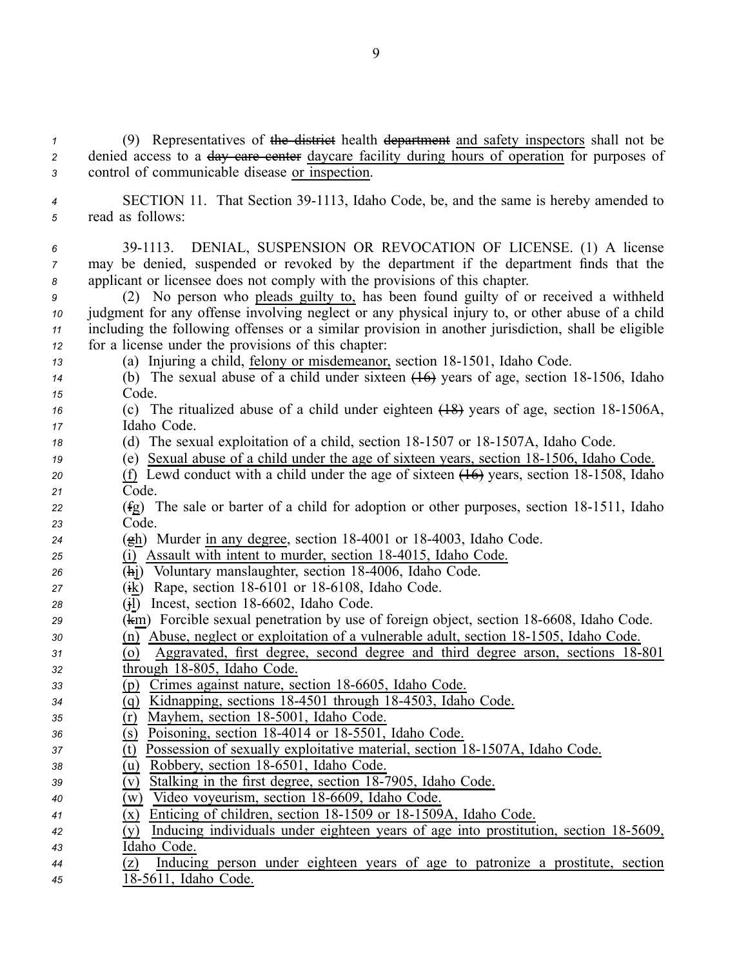*<sup>1</sup>* (9) Representatives of the district health department and safety inspectors shall not be 2 denied access to a day care center daycare facility during hours of operation for purposes of *<sup>3</sup>* control of communicable disease or inspection.

- 4 SECTION 11. That Section 39-1113, Idaho Code, be, and the same is hereby amended to *<sup>5</sup>* read as follows:
- *<sup>6</sup>* 391113. DENIAL, SUSPENSION OR REVOCATION OF LICENSE. (1) A license *<sup>7</sup>* may be denied, suspended or revoked by the department if the department finds that the *<sup>8</sup>* applicant or licensee does not comply with the provisions of this chapter.

 (2) No person who pleads guilty to, has been found guilty of or received <sup>a</sup> withheld judgment for any offense involving neglect or any physical injury to, or other abuse of <sup>a</sup> child including the following offenses or <sup>a</sup> similar provision in another jurisdiction, shall be eligible for <sup>a</sup> license under the provisions of this chapter:

- *13* (a) Injuring a child, <u>felony or misdemeanor</u>, section 18-1501, Idaho Code.
- *14* (b) The sexual abuse of a child under sixteen  $(16)$  years of age, section 18-1506, Idaho *<sup>15</sup>* Code.
- *16* (c) The ritualized abuse of a child under eighteen (18) years of age, section 18-1506A, *<sup>17</sup>* Idaho Code.
- *18* (d) The sexual exploitation of a child, section 18-1507 or 18-1507A, Idaho Code.
- *19* (e) Sexual abuse of a child under the age of sixteen years, section 18-1506, Idaho Code.
- 20 (f) Lewd conduct with a child under the age of sixteen  $(16)$  years, section 18-1508, Idaho *<sup>21</sup>* Code.
- *22* (fg) The sale or barter of a child for adoption or other purposes, section 18-1511, Idaho *<sup>23</sup>* Code.
- *<sup>24</sup>* (gh) Murder in any degree, section 184001 or 184003, Idaho Code.
- *<sup>25</sup>* (i) Assault with intent to murder, section 184015, Idaho Code.
- *<sup>26</sup>* (hj) Voluntary manslaughter, section 184006, Idaho Code.
- *<sup>27</sup>* (ik) Rape, section 186101 or 186108, Idaho Code.
- <sup>28</sup> (i) Incest, section 18-6602, Idaho Code.
- **29** (km) Forcible sexual penetration by use of foreign object, section 18-6608, Idaho Code.
- *30* (n) Abuse, neglect or exploitation of a vulnerable adult, section 18-1505, Idaho Code.
- *31* (o) Aggravated, first degree, second degree and third degree arson, sections 18-801 32 through 18-805, Idaho Code.
- *<sup>33</sup>* (p) Crimes against nature, section 186605, Idaho Code.
- *<sup>34</sup>* (q) Kidnapping, sections 184501 through 184503, Idaho Code.
- *<sup>35</sup>* (r) Mayhem, section 185001, Idaho Code.
- *36* (s) Poisoning, section 18-4014 or 18-5501, Idaho Code.
- *37* (t) Possession of sexually exploitative material, section 18-1507A, Idaho Code.
- $\overline{u}$  (u) Robbery, section 18-6501, Idaho Code.
- *39* (v) Stalking in the first degree, section 18-7905, Idaho Code.
- *<sup>40</sup>* (w) Video voyeurism, section 186609, Idaho Code.
- $\overline{(x)}$  Enticing of children, section 18-1509 or 18-1509 A, Idaho Code.
- *<sup>42</sup>* (y) Inducing individuals under eighteen years of age into prostitution, section 185609, *<sup>43</sup>* Idaho Code.
- *<sup>44</sup>* (z) Inducing person under eighteen years of age to patronize <sup>a</sup> prostitute, section
- *<sup>45</sup>* 185611, Idaho Code.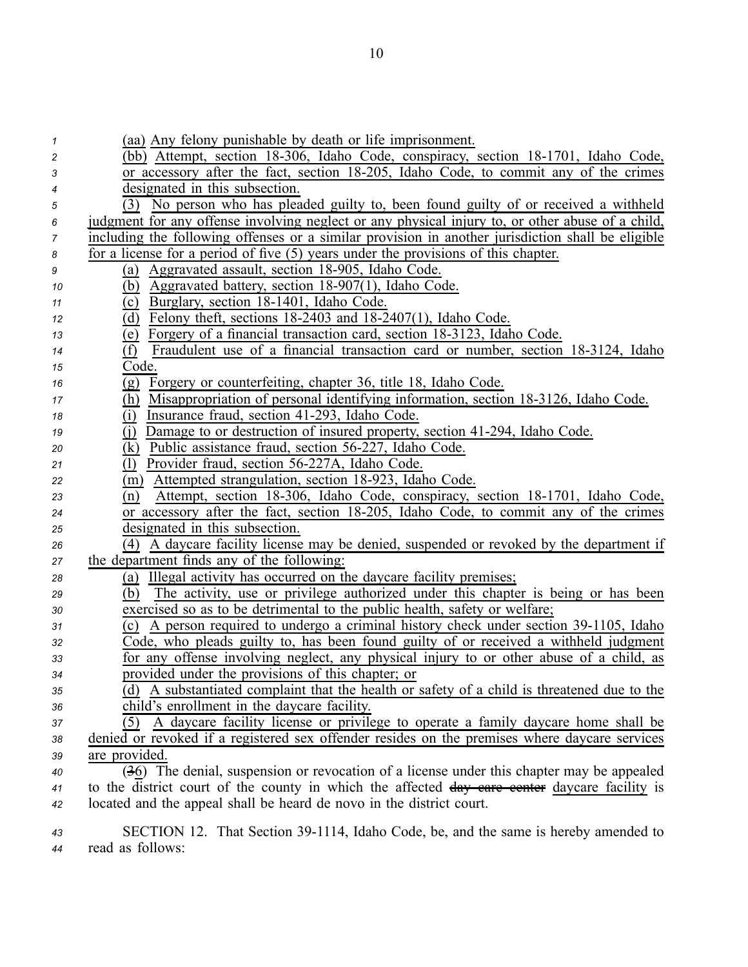| $\mathcal I$ | (aa) Any felony punishable by death or life imprisonment.                                         |
|--------------|---------------------------------------------------------------------------------------------------|
| 2            | (bb) Attempt, section 18-306, Idaho Code, conspiracy, section 18-1701, Idaho Code,                |
| 3            | or accessory after the fact, section 18-205, Idaho Code, to commit any of the crimes              |
| 4            | designated in this subsection.                                                                    |
| 5            | No person who has pleaded guilty to, been found guilty of or received a withheld<br>(3)           |
| 6            | judgment for any offense involving neglect or any physical injury to, or other abuse of a child,  |
| 7            | including the following offenses or a similar provision in another jurisdiction shall be eligible |
| 8            | for a license for a period of five $(5)$ years under the provisions of this chapter.              |
| 9            | Aggravated assault, section 18-905, Idaho Code.<br>(a)                                            |
| 10           | Aggravated battery, section 18-907(1), Idaho Code.<br>(b)                                         |
| 11           | Burglary, section 18-1401, Idaho Code.<br>(c)                                                     |
| 12           | Felony theft, sections $18-2403$ and $18-2407(1)$ , Idaho Code.<br>(d)                            |
| 13           | Forgery of a financial transaction card, section 18-3123, Idaho Code.<br>(e)                      |
| 14           | Fraudulent use of a financial transaction card or number, section 18-3124, Idaho<br>(f)           |
| 15           | Code.                                                                                             |
| 16           | Forgery or counterfeiting, chapter 36, title 18, Idaho Code.<br>(g)                               |
| 17           | Misappropriation of personal identifying information, section 18-3126, Idaho Code.<br>(h)         |
| 18           | (i)<br>Insurance fraud, section 41-293, Idaho Code.                                               |
| 19           | Damage to or destruction of insured property, section 41-294, Idaho Code.<br>(i)                  |
| 20           | Public assistance fraud, section 56-227, Idaho Code.<br>(k)                                       |
| 21           | Provider fraud, section 56-227A, Idaho Code.<br>(1)                                               |
| 22           | Attempted strangulation, section 18-923, Idaho Code.<br>(m)                                       |
| 23           | Attempt, section 18-306, Idaho Code, conspiracy, section 18-1701, Idaho Code,<br>(n)              |
| 24           | or accessory after the fact, section 18-205, Idaho Code, to commit any of the crimes              |
| 25           | designated in this subsection.                                                                    |
| 26           | (4) A daycare facility license may be denied, suspended or revoked by the department if           |
| 27           | the department finds any of the following:                                                        |
| 28           | (a) Illegal activity has occurred on the daycare facility premises;                               |
| 29           | The activity, use or privilege authorized under this chapter is being or has been<br>(b)          |
| 30           | exercised so as to be detrimental to the public health, safety or welfare;                        |
| 31           | A person required to undergo a criminal history check under section 39-1105, Idaho<br>(c)         |
| 32           | Code, who pleads guilty to, has been found guilty of or received a withheld judgment              |
| 33           | for any offense involving neglect, any physical injury to or other abuse of a child, as           |
| 34           | provided under the provisions of this chapter; or                                                 |
| 35           | (d) A substantiated complaint that the health or safety of a child is threatened due to the       |
| 36           | child's enrollment in the daycare facility.                                                       |
| 37           | A daycare facility license or privilege to operate a family daycare home shall be<br>(5)          |
| 38           | denied or revoked if a registered sex offender resides on the premises where daycare services     |
| 39           | are provided.                                                                                     |
| 40           | (36) The denial, suspension or revocation of a license under this chapter may be appealed         |
| 41           | to the district court of the county in which the affected day eare eenter daycare facility is     |
| 42           | located and the appeal shall be heard de novo in the district court.                              |
|              | CECTION 12. That Soction 20, 1114, Leake Code, he and the same is berahy amonded to               |

43 SECTION 12. That Section 39-1114, Idaho Code, be, and the same is hereby amended to *<sup>44</sup>* read as follows: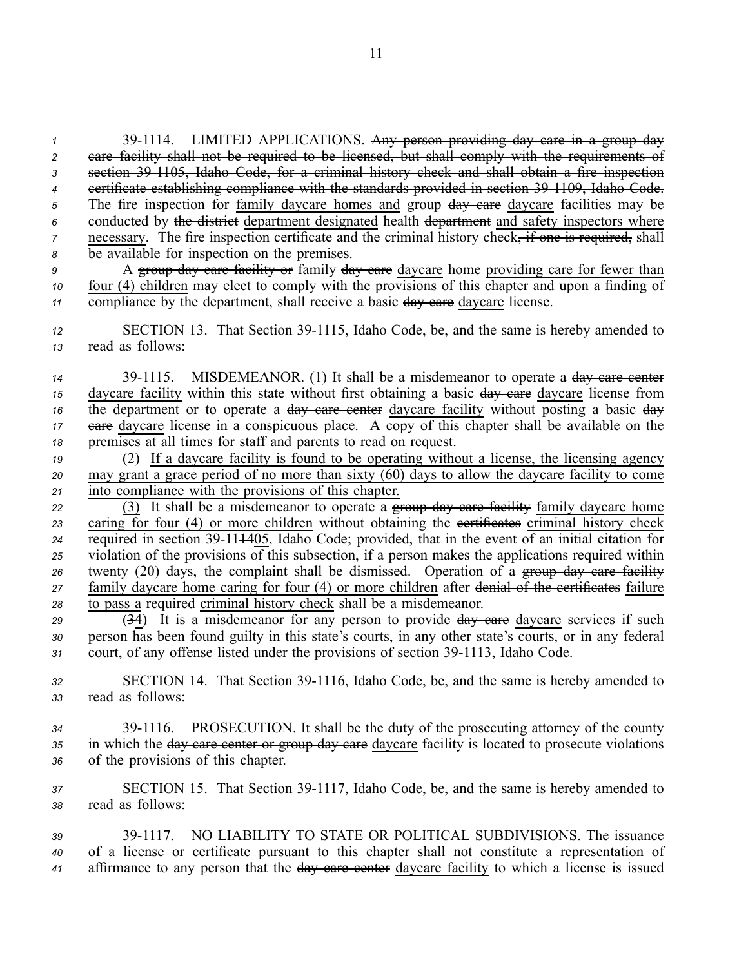<sup>1</sup> 39-1114. LIMITED APPLICATIONS. Any person providing day care in a group day care facility shall not be required to be licensed, but shall comply with the requirements of section 391105, Idaho Code, for <sup>a</sup> criminal history check and shall obtain <sup>a</sup> fire inspection certificate establishing compliance with the standards provided in section 391109, Idaho Code. 5 The fire inspection for family daycare homes and group  $\frac{day}{dx}$  care daycare facilities may be conducted by the district department designated health department and safety inspectors where necessary. The fire inspection certificate and the criminal history check<del>, if one is required,</del> shall be available for inspection on the premises.

*9* A group day care facility or family day care daycare home providing care for fewer than *<sup>10</sup>* four (4) children may elect to comply with the provisions of this chapter and upon <sup>a</sup> finding of *11* compliance by the department, shall receive a basic day eare daycare license.

12 SECTION 13. That Section 39-1115, Idaho Code, be, and the same is hereby amended to *<sup>13</sup>* read as follows:

14 39-1115. MISDEMEANOR. (1) It shall be a misdemeanor to operate a day care center 15 daycare facility within this state without first obtaining a basic day eare daycare license from *16* the department or to operate a <del>day care center</del> daycare facility without posting a basic  $\frac{1}{2}$ 17 eare daycare license in a conspicuous place. A copy of this chapter shall be available on the *<sup>18</sup>* premises at all times for staff and parents to read on request.

*<sup>19</sup>* (2) If <sup>a</sup> daycare facility is found to be operating without <sup>a</sup> license, the licensing agency *<sup>20</sup>* may gran<sup>t</sup> <sup>a</sup> grace period of no more than sixty (60) days to allow the daycare facility to come *<sup>21</sup>* into compliance with the provisions of this chapter.

<sup>22</sup> (3) It shall be a misdemeanor to operate a group day care facility family daycare home 23 caring for four (4) or more children without obtaining the extificates criminal history check  $\frac{1}{24}$  required in section 39-11<del>14</del>05, Idaho Code; provided, that in the event of an initial citation for *<sup>25</sup>* violation of the provisions of this subsection, if <sup>a</sup> person makes the applications required within *<sup>26</sup>* twenty (20) days, the complaint shall be dismissed. Operation of <sup>a</sup> group day care facility *<sup>27</sup>* family daycare home caring for four (4) or more children after denial of the certificates failure *<sup>28</sup>* to pass <sup>a</sup> required criminal history check shall be <sup>a</sup> misdemeanor.

29 **(34)** It is a misdemeanor for any person to provide day care daycare services if such *<sup>30</sup>* person has been found guilty in this state's courts, in any other state's courts, or in any federal 31 court, of any offense listed under the provisions of section 39-1113, Idaho Code.

32 SECTION 14. That Section 39-1116, Idaho Code, be, and the same is hereby amended to *<sup>33</sup>* read as follows:

*<sup>34</sup>* 391116. PROSECUTION. It shall be the duty of the prosecuting attorney of the county *<sup>35</sup>* in which the day care center or group day care daycare facility is located to prosecute violations *<sup>36</sup>* of the provisions of this chapter.

*<sup>37</sup>* SECTION 15. That Section 391117, Idaho Code, be, and the same is hereby amended to *<sup>38</sup>* read as follows:

*<sup>39</sup>* 391117. NO LIABILITY TO STATE OR POLITICAL SUBDIVISIONS. The issuance *<sup>40</sup>* of <sup>a</sup> license or certificate pursuan<sup>t</sup> to this chapter shall not constitute <sup>a</sup> representation of *<sup>41</sup>* affirmance to any person that the day care center daycare facility to which <sup>a</sup> license is issued